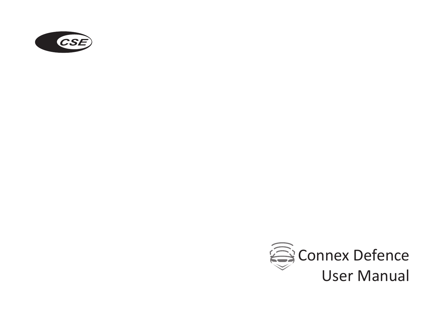

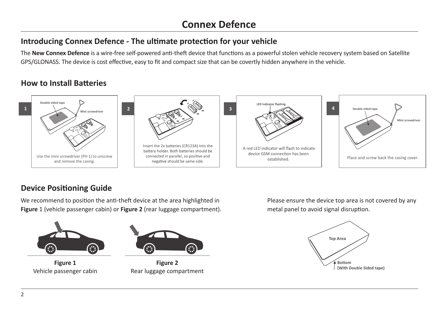## **Introducing Connex Defence - The ultimate protection for your vehicle**

The **New Connex Defence** is a wire-free self-powered anti-theft device that functions as a powerful stolen vehicle recovery system based on Satellite GPS/GLONASS. The device is cost effective, easy to fit and compact size that can be covertly hidden anywhere in the vehicle.

### **How to Install Batteries**



### **Device Positioning Guide**

We recommend to position the anti-theft device at the area highlighted in **Figure** 1 (vehicle passenger cabin) or **Figure 2** (rear luggage compartment).



**Figure 1** Vehicle passenger cabin



**Figure 2** Rear luggage compartment

Please ensure the device top area is not covered by any metal panel to avoid signal disruption.

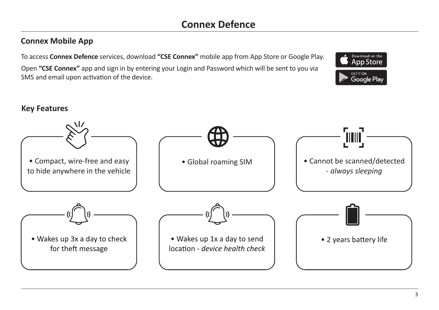### **Connex Mobile App**

To access **Connex Defence** services, download **"CSE Connex"** mobile app from App Store or Google Play.

Open **"CSE Connex"** app and sign in by entering your Login and Password which will be sent to you via SMS and email upon activation of the device.



### **Key Features**

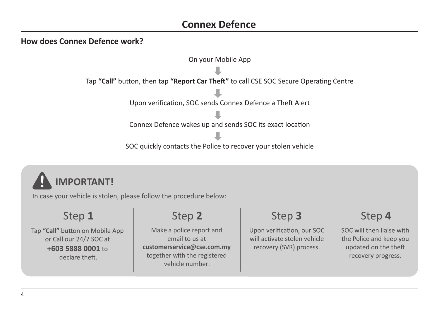# **Connex Defence**

### **How does Connex Defence work?**





In case your vehicle is stolen, please follow the procedure below:

# Step 1 Step 2

Tap "Call" button on Mobile App or Call our 24/7 SOC at +603 5888 0001 to declare theft.

Make a police report and email to us at **customerservice@cse.com.my**  together with the registered vehicle number.

Upon verification, our SOC will activate stolen vehicle recovery (SVR) process.

# Step **3** Step **4**

SOC will then liaise with the Police and keep you updated on the theft recovery progress.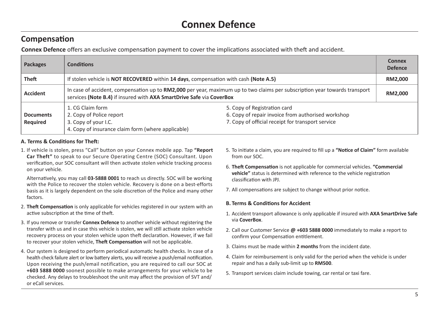### **Compensation**

**Connex Defence** offers an exclusive compensation payment to cover the implications associated with theft and accident.

| <b>Packages</b>              | <b>Conditions</b>                                                                                                                                                                                                                                                     |  | Connex<br><b>Defence</b> |
|------------------------------|-----------------------------------------------------------------------------------------------------------------------------------------------------------------------------------------------------------------------------------------------------------------------|--|--------------------------|
| Theft                        | If stolen vehicle is NOT RECOVERED within 14 days, compensation with cash (Note A.5)                                                                                                                                                                                  |  | RM2,000                  |
| <b>Accident</b>              | In case of accident, compensation up to RM2,000 per year, maximum up to two claims per subscription year towards transport<br>services (Note B.4) if insured with AXA SmartDrive Safe via CoverBox                                                                    |  | RM2,000                  |
| <b>Documents</b><br>Required | 5. Copy of Registration card<br>1. CG Claim form<br>6. Copy of repair invoice from authorised workshop<br>2. Copy of Police report<br>7. Copy of official receipt for transport service<br>3. Copy of your I.C.<br>4. Copy of insurance claim form (where applicable) |  |                          |

### **A. Terms & Conditions for Theft:**

1. If vehicle is stolen, press "Call" button on your Connex mobile app. Tap **"Report Car Theft"** to speak to our Secure Operating Centre (SOC) Consultant. Upon verification, our SOC consultant will then activate stolen vehicle tracking process on your vehicle.

Alternatively, you may call **03-5888 0001** to reach us directly. SOC will be working with the Police to recover the stolen vehicle. Recovery is done on a best-efforts basis as it is largely dependent on the sole discretion of the Police and many other factors.

- 2. **Theft Compensation** is only applicable for vehicles registered in our system with an active subscription at the time of theft.
- 3. If you remove or transfer **Connex Defence** to another vehicle without registering the transfer with us and in case this vehicle is stolen, we will still activate stolen vehicle recovery process on your stolen vehicle upon theft declaration. However, if we fail to recover your stolen vehicle, **Theft Compensation** will not be applicable.
- 4. Our system is designed to perform periodical automatic health checks. In case of a health check failure alert or low battery alerts, you will receive a push/email notification. Upon receiving the push/email notification, you are required to call our SOC at **+603 5888 0000** soonest possible to make arrangements for your vehicle to be checked. Any delays to troubleshoot the unit may affect the provision of SVT and/ or eCall services.
- 5. To initiate a claim, you are required to fill up a **"Notice of Claim"** form available from our SOC.
- 6. **Theft Compensation** is not applicable for commercial vehicles. **"Commercial vehicle"** status is determined with reference to the vehicle registration classification with JPJ.
- 7. All compensations are subject to change without prior notice.

### **B. Terms & Conditions for Accident**

- 1. Accident transport allowance is only applicable if insured with **AXA SmartDrive Safe**  via **CoverBox**.
- 2. Call our Customer Service **@ +603 5888 0000** immediately to make a report to confirm your Compensation entitlement.
- 3. Claims must be made within **2 months** from the incident date.
- 4. Claim for reimbursement is only valid for the period when the vehicle is under repair and has a daily sub-limit up to **RM500**.
- 5. Transport services claim include towing, car rental or taxi fare.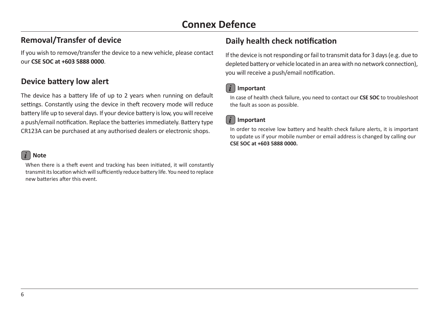### **Removal/Transfer of device**

If you wish to remove/transfer the device to a new vehicle, please contact our **CSE SOC at +603 5888 0000**.

### **Device battery low alert**

The device has a battery life of up to 2 years when running on default settings. Constantly using the device in theft recovery mode will reduce battery life up to several days. If your device battery is low, you will receive a push/email notification. Replace the batteries immediately. Battery type CR123A can be purchased at any authorised dealers or electronic shops.

### *i* **Note**

When there is a theft event and tracking has been initiated, it will constantly transmit its location which will sufficiently reduce battery life. You need to replace new batteries after this event.

## **Daily health check notification**

If the device is not responding or fail to transmit data for 3 days (e.g. due to depleted battery or vehicle located in an area with no network connection), you will receive a push/email notification.

### *i* **Important**

In case of health check failure, you need to contact our **CSE SOC** to troubleshoot the fault as soon as possible.

### *i* **Important**

In order to receive low battery and health check failure alerts, it is important to update us if your mobile number or email address is changed by calling our **CSE SOC at +603 5888 0000.**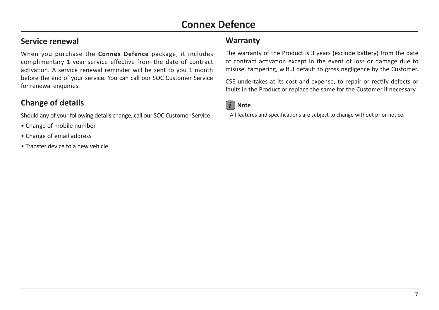### **Service renewal**

When you purchase the **Connex Defence** package, it includes complimentary 1 year service effective from the date of contract activation. A service renewal reminder will be sent to you 1 month before the end of your service. You can call our SOC Customer Service for renewal enquiries.

## **Change of details**

Should any of your following details change, call our SOC Customer Service:

- Change of mobile number
- Change of email address
- Transfer device to a new vehicle

### **Warranty**

The warranty of the Product is 3 years (exclude battery) from the date of contract activation except in the event of loss or damage due to misuse, tampering, wilful default to gross negligence by the Customer.

CSE undertakes at its cost and expense, to repair or rectify defects or faults in the Product or replace the same for the Customer if necessary.



All features and specifications are subject to change without prior notice.